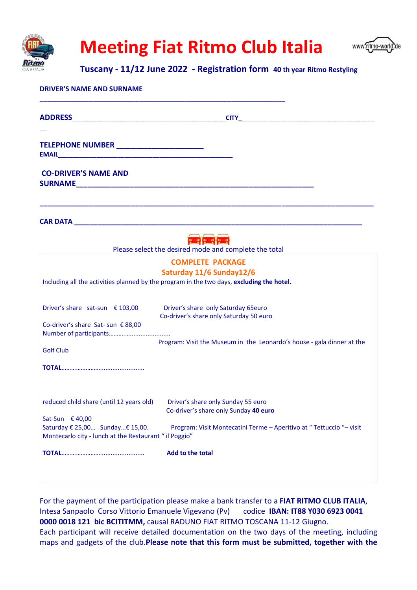

## **Meeting Fiat Ritmo Club Italia**



## **Tuscany - 11/12 June 2022 - Registration form 40 th year Ritmo Restyling**

| <b>DRIVER'S NAME AND SURNAME</b>                                                               |                                                                                                                                                                                                           |
|------------------------------------------------------------------------------------------------|-----------------------------------------------------------------------------------------------------------------------------------------------------------------------------------------------------------|
|                                                                                                |                                                                                                                                                                                                           |
| TELEPHONE NUMBER _______________________<br><b>EMAIL</b>                                       |                                                                                                                                                                                                           |
| <b>CO-DRIVER'S NAME AND</b>                                                                    |                                                                                                                                                                                                           |
|                                                                                                | <b>THE PROPERTY</b>                                                                                                                                                                                       |
|                                                                                                | Please select the desired mode and complete the total<br><b>COMPLETE PACKAGE</b><br>Saturday 11/6 Sunday12/6<br>Including all the activities planned by the program in the two days, excluding the hotel. |
| Driver's share sat-sun $\epsilon$ 103,00<br>Co-driver's share Sat- sun € 88,00                 | Driver's share only Saturday 65euro<br>Co-driver's share only Saturday 50 euro                                                                                                                            |
| <b>Golf Club</b>                                                                               | Program: Visit the Museum in the Leonardo's house - gala dinner at the                                                                                                                                    |
|                                                                                                |                                                                                                                                                                                                           |
| reduced child share (until 12 years old) Driver's share only Sunday 55 euro<br>Sat-Sun € 40,00 | Co-driver's share only Sunday 40 euro                                                                                                                                                                     |
| Saturday € 25,00 Sunday € 15,00.<br>Montecarlo city - lunch at the Restaurant " il Poggio"     | Program: Visit Montecatini Terme - Aperitivo at "Tettuccio "- visit                                                                                                                                       |
|                                                                                                | Add to the total                                                                                                                                                                                          |
|                                                                                                |                                                                                                                                                                                                           |

For the payment of the participation please make a bank transfer to a **FIAT RITMO CLUB ITALIA**, Intesa Sanpaolo Corso Vittorio Emanuele Vigevano (Pv) codice **IBAN: IT88 Y030 6923 0041 0000 0018 121 bic BCITITMM,** causal RADUNO FIAT RITMO TOSCANA 11-12 Giugno. Each participant will receive detailed documentation on the two days of the meeting, including maps and gadgets of the club.**Please note that this form must be submitted, together with the**